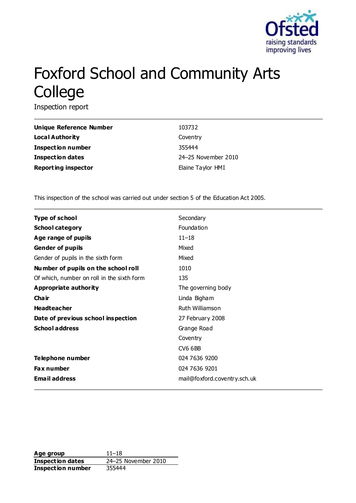

# Foxford School and Community Arts College

Inspection report

| Unique Reference Number    | 103732              |
|----------------------------|---------------------|
| Local Authority            | Coventry            |
| Inspection number          | 355444              |
| <b>Inspection dates</b>    | 24-25 November 2010 |
| <b>Reporting inspector</b> | Elaine Taylor HMI   |

This inspection of the school was carried out under section 5 of the Education Act 2005.

| <b>Type of school</b>                      | Secondary                    |
|--------------------------------------------|------------------------------|
| <b>School category</b>                     | Foundation                   |
| Age range of pupils                        | $11 - 18$                    |
| <b>Gender of pupils</b>                    | Mixed                        |
| Gender of pupils in the sixth form         | Mixed                        |
| Number of pupils on the school roll        | 1010                         |
| Of which, number on roll in the sixth form | 135                          |
| Appropriate authority                      | The governing body           |
| Cha ir                                     | Linda Bigham                 |
| <b>Headteacher</b>                         | Ruth Williamson              |
| Date of previous school inspection         | 27 February 2008             |
| <b>School address</b>                      | Grange Road                  |
|                                            | Coventry                     |
|                                            | <b>CV6 6BB</b>               |
| Telephone number                           | 024 7636 9200                |
| <b>Fax number</b>                          | 024 7636 9201                |
| <b>Email address</b>                       | mail@foxford.coventry.sch.uk |
|                                            |                              |

Age group 11–18 **Inspection dates** 24–25 November 2010 **Inspection number** 355444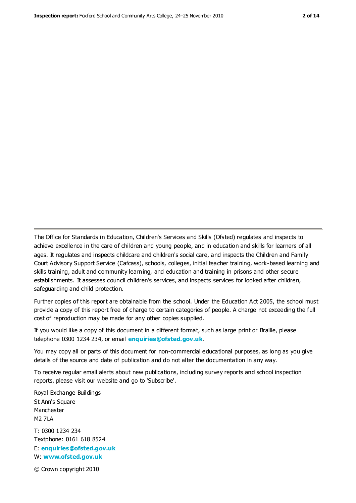The Office for Standards in Education, Children's Services and Skills (Ofsted) regulates and inspects to achieve excellence in the care of children and young people, and in education and skills for learners of all ages. It regulates and inspects childcare and children's social care, and inspects the Children and Family Court Advisory Support Service (Cafcass), schools, colleges, initial teacher training, work-based learning and skills training, adult and community learning, and education and training in prisons and other secure establishments. It assesses council children's services, and inspects services for looked after children, safeguarding and child protection.

Further copies of this report are obtainable from the school. Under the Education Act 2005, the school must provide a copy of this report free of charge to certain categories of people. A charge not exceeding the full cost of reproduction may be made for any other copies supplied.

If you would like a copy of this document in a different format, such as large print or Braille, please telephone 0300 1234 234, or email **[enquiries@ofsted.gov.uk](mailto:enquiries@ofsted.gov.uk)**.

You may copy all or parts of this document for non-commercial educational purposes, as long as you give details of the source and date of publication and do not alter the documentation in any way.

To receive regular email alerts about new publications, including survey reports and school inspection reports, please visit our website and go to 'Subscribe'.

Royal Exchange Buildings St Ann's Square Manchester M2 7LA T: 0300 1234 234 Textphone: 0161 618 8524 E: **[enquiries@ofsted.gov.uk](mailto:enquiries@ofsted.gov.uk)**

W: **[www.ofsted.gov.uk](http://www.ofsted.gov.uk/)**

© Crown copyright 2010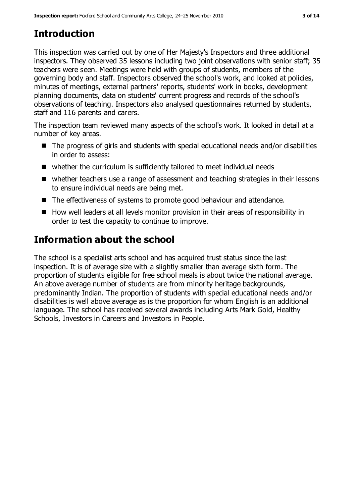# **Introduction**

This inspection was carried out by one of Her Majesty's Inspectors and three additional inspectors. They observed 35 lessons including two joint observations with senior staff; 35 teachers were seen. Meetings were held with groups of students, members of the governing body and staff. Inspectors observed the school's work, and looked at policies, minutes of meetings, external partners' reports, students' work in books, development planning documents, data on students' current progress and records of the school's observations of teaching. Inspectors also analysed questionnaires returned by students, staff and 116 parents and carers.

The inspection team reviewed many aspects of the school's work. It looked in detail at a number of key areas.

- The progress of girls and students with special educational needs and/or disabilities in order to assess:
- whether the curriculum is sufficiently tailored to meet individual needs
- whether teachers use a range of assessment and teaching strategies in their lessons to ensure individual needs are being met.
- The effectiveness of systems to promote good behaviour and attendance.
- How well leaders at all levels monitor provision in their areas of responsibility in order to test the capacity to continue to improve.

# **Information about the school**

The school is a specialist arts school and has acquired trust status since the last inspection. It is of average size with a slightly smaller than average sixth form. The proportion of students eligible for free school meals is about twice the national average. An above average number of students are from minority heritage backgrounds, predominantly Indian. The proportion of students with special educational needs and/or disabilities is well above average as is the proportion for whom English is an additional language. The school has received several awards including Arts Mark Gold, Healthy Schools, Investors in Careers and Investors in People.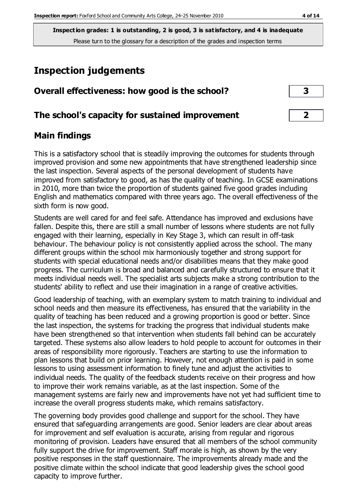# **Inspection judgements**

| Overall effectiveness: how good is the school?  |  |
|-------------------------------------------------|--|
| The school's capacity for sustained improvement |  |

## **Main findings**

This is a satisfactory school that is steadily improving the outcomes for students through improved provision and some new appointments that have strengthened leadership since the last inspection. Several aspects of the personal development of students have improved from satisfactory to good, as has the quality of teaching. In GCSE examinations in 2010, more than twice the proportion of students gained five good grades including English and mathematics compared with three years ago. The overall effectiveness of the sixth form is now good.

Students are well cared for and feel safe. Attendance has improved and exclusions have fallen. Despite this, there are still a small number of lessons where students are not fully engaged with their learning, especially in Key Stage 3, which can result in off-task behaviour. The behaviour policy is not consistently applied across the school. The many different groups within the school mix harmoniously together and strong support for students with special educational needs and/or disabilities means that they make good progress. The curriculum is broad and balanced and carefully structured to ensure that it meets individual needs well. The specialist arts subjects make a strong contribution to the students' ability to reflect and use their imagination in a range of creative activities.

Good leadership of teaching, with an exemplary system to match training to individual and school needs and then measure its effectiveness, has ensured that the variability in the quality of teaching has been reduced and a growing proportion is good or better. Since the last inspection, the systems for tracking the progress that individual students make have been strengthened so that intervention when students fall behind can be accurately targeted. These systems also allow leaders to hold people to account for outcomes in their areas of responsibility more rigorously. Teachers are starting to use the information to plan lessons that build on prior learning. However, not enough attention is paid in some lessons to using assessment information to finely tune and adjust the activities to individual needs. The quality of the feedback students receive on their progress and how to improve their work remains variable, as at the last inspection. Some of the management systems are fairly new and improvements have not yet had sufficient time to increase the overall progress students make, which remains satisfactory.

The governing body provides good challenge and support for the school. They have ensured that safeguarding arrangements are good. Senior leaders are clear about areas for improvement and self evaluation is accurate, arising from regular and rigorous monitoring of provision. Leaders have ensured that all members of the school community fully support the drive for improvement. Staff morale is high, as shown by the very positive responses in the staff questionnaire. The improvements already made and the positive climate within the school indicate that good leadership gives the school good capacity to improve further.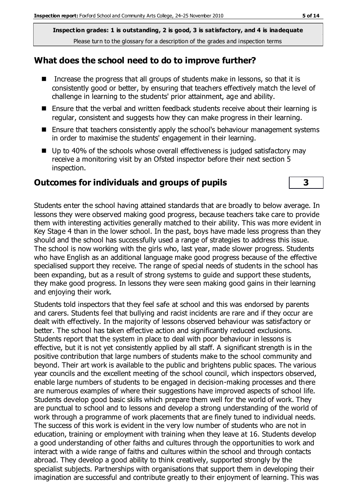#### **What does the school need to do to improve further?**

- Increase the progress that all groups of students make in lessons, so that it is consistently good or better, by ensuring that teachers effectively match the level of challenge in learning to the students' prior attainment, age and ability.
- Ensure that the verbal and written feedback students receive about their learning is regular, consistent and suggests how they can make progress in their learning.
- Ensure that teachers consistently apply the school's behaviour management systems in order to maximise the students' engagement in their learning.
- Up to 40% of the schools whose overall effectiveness is judged satisfactory may receive a monitoring visit by an Ofsted inspector before their next section 5 inspection.

#### **Outcomes for individuals and groups of pupils 3**

Students enter the school having attained standards that are broadly to below average. In lessons they were observed making good progress, because teachers take care to provide them with interesting activities generally matched to their ability. This was more evident in Key Stage 4 than in the lower school. In the past, boys have made less progress than they should and the school has successfully used a range of strategies to address this issue. The school is now working with the girls who, last year, made slower progress. Students who have English as an additional language make good progress because of the effective specialised support they receive. The range of special needs of students in the school has been expanding, but as a result of strong systems to guide and support these students, they make good progress. In lessons they were seen making good gains in their learning and enjoying their work.

Students told inspectors that they feel safe at school and this was endorsed by parents and carers. Students feel that bullying and racist incidents are rare and if they occur are dealt with effectively. In the majority of lessons observed behaviour was satisfactory or better. The school has taken effective action and significantly reduced exclusions. Students report that the system in place to deal with poor behaviour in lessons is effective, but it is not yet consistently applied by all staff. A significant strength is in the positive contribution that large numbers of students make to the school community and beyond. Their art work is available to the public and brightens public spaces. The various year councils and the excellent meeting of the school council, which inspectors observed, enable large numbers of students to be engaged in decision-making processes and there are numerous examples of where their suggestions have improved aspects of school life. Students develop good basic skills which prepare them well for the world of work. They are punctual to school and to lessons and develop a strong understanding of the world of work through a programme of work placements that are finely tuned to individual needs. The success of this work is evident in the very low number of students who are not in education, training or employment with training when they leave at 16. Students develop a good understanding of other faiths and cultures through the opportunities to work and interact with a wide range of faiths and cultures within the school and through contacts abroad. They develop a good ability to think creatively, supported strongly by the specialist subjects. Partnerships with organisations that support them in developing their imagination are successful and contribute greatly to their enjoyment of learning. This was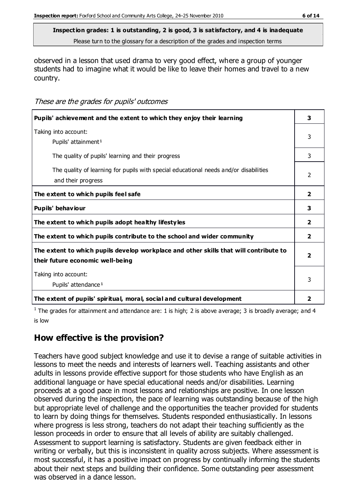Please turn to the glossary for a description of the grades and inspection terms

observed in a lesson that used drama to very good effect, where a group of younger students had to imagine what it would be like to leave their homes and travel to a new country.

These are the grades for pupils' outcomes

| Pupils' achievement and the extent to which they enjoy their learning                                                     | 3              |
|---------------------------------------------------------------------------------------------------------------------------|----------------|
| Taking into account:<br>Pupils' attainment <sup>1</sup>                                                                   | 3              |
| The quality of pupils' learning and their progress                                                                        | 3              |
| The quality of learning for pupils with special educational needs and/or disabilities<br>and their progress               | $\mathcal{L}$  |
| The extent to which pupils feel safe                                                                                      | $\overline{2}$ |
| Pupils' behaviour                                                                                                         | 3              |
| The extent to which pupils adopt healthy lifestyles                                                                       | $\overline{2}$ |
| The extent to which pupils contribute to the school and wider community                                                   | $\overline{2}$ |
| The extent to which pupils develop workplace and other skills that will contribute to<br>their future economic well-being | 2              |
| Taking into account:<br>Pupils' attendance <sup>1</sup>                                                                   |                |
| The extent of pupils' spiritual, moral, social and cultural development                                                   | 2              |

<sup>1</sup> The grades for attainment and attendance are: 1 is high; 2 is above average; 3 is broadly average; and 4 is low

## **How effective is the provision?**

Teachers have good subject knowledge and use it to devise a range of suitable activities in lessons to meet the needs and interests of learners well. Teaching assistants and other adults in lessons provide effective support for those students who have English as an additional language or have special educational needs and/or disabilities. Learning proceeds at a good pace in most lessons and relationships are positive. In one lesson observed during the inspection, the pace of learning was outstanding because of the high but appropriate level of challenge and the opportunities the teacher provided for students to learn by doing things for themselves. Students responded enthusiastically. In lessons where progress is less strong, teachers do not adapt their teaching sufficiently as the lesson proceeds in order to ensure that all levels of ability are suitably challenged. Assessment to support learning is satisfactory. Students are given feedback either in writing or verbally, but this is inconsistent in quality across subjects. Where assessment is most successful, it has a positive impact on progress by continually informing the students about their next steps and building their confidence. Some outstanding peer assessment was observed in a dance lesson.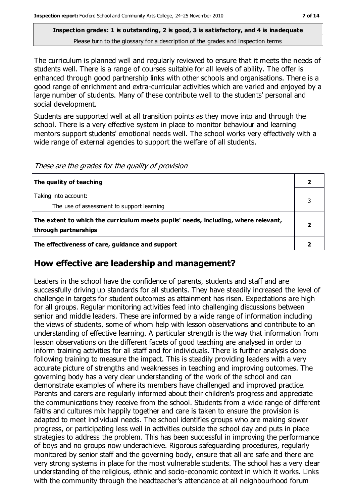The curriculum is planned well and regularly reviewed to ensure that it meets the needs of students well. There is a range of courses suitable for all levels of ability. The offer is enhanced through good partnership links with other schools and organisations. There is a good range of enrichment and extra-curricular activities which are varied and enjoyed by a large number of students. Many of these contribute well to the students' personal and social development.

Students are supported well at all transition points as they move into and through the school. There is a very effective system in place to monitor behaviour and learning mentors support students' emotional needs well. The school works very effectively with a wide range of external agencies to support the welfare of all students.

| The quality of teaching                                                                                    | $\mathbf{2}$ |
|------------------------------------------------------------------------------------------------------------|--------------|
| Taking into account:                                                                                       | 3            |
| The use of assessment to support learning                                                                  |              |
| The extent to which the curriculum meets pupils' needs, including, where relevant,<br>through partnerships |              |
| The effectiveness of care, guidance and support                                                            |              |

These are the grades for the quality of provision

## **How effective are leadership and management?**

Leaders in the school have the confidence of parents, students and staff and are successfully driving up standards for all students. They have steadily increased the level of challenge in targets for student outcomes as attainment has risen. Expectations are high for all groups. Regular monitoring activities feed into challenging discussions between senior and middle leaders. These are informed by a wide range of information including the views of students, some of whom help with lesson observations and contribute to an understanding of effective learning. A particular strength is the way that information from lesson observations on the different facets of good teaching are analysed in order to inform training activities for all staff and for individuals. There is further analysis done following training to measure the impact. This is steadily providing leaders with a very accurate picture of strengths and weaknesses in teaching and improving outcomes. The governing body has a very clear understanding of the work of the school and can demonstrate examples of where its members have challenged and improved practice. Parents and carers are regularly informed about their children's progress and appreciate the communications they receive from the school. Students from a wide range of different faiths and cultures mix happily together and care is taken to ensure the provision is adapted to meet individual needs. The school identifies groups who are making slower progress, or participating less well in activities outside the school day and puts in place strategies to address the problem. This has been successful in improving the performance of boys and no groups now underachieve. Rigorous safeguarding procedures, regularly monitored by senior staff and the governing body, ensure that all are safe and there are very strong systems in place for the most vulnerable students. The school has a very clear understanding of the religious, ethnic and socio-economic context in which it works. Links with the community through the headteacher's attendance at all neighbourhood forum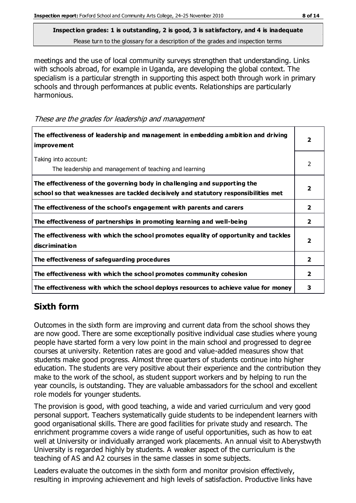meetings and the use of local community surveys strengthen that understanding. Links with schools abroad, for example in Uganda, are developing the global context. The specialism is a particular strength in supporting this aspect both through work in primary schools and through performances at public events. Relationships are particularly harmonious.

These are the grades for leadership and management

| The effectiveness of leadership and management in embedding ambition and driving<br><b>improvement</b>                                                           |              |
|------------------------------------------------------------------------------------------------------------------------------------------------------------------|--------------|
| Taking into account:<br>The leadership and management of teaching and learning                                                                                   | 2            |
| The effectiveness of the governing body in challenging and supporting the<br>school so that weaknesses are tackled decisively and statutory responsibilities met | 2            |
| The effectiveness of the school's engagement with parents and carers                                                                                             | 2            |
| The effectiveness of partnerships in promoting learning and well-being                                                                                           | 2            |
| The effectiveness with which the school promotes equality of opportunity and tackles<br>discrimination                                                           | 2            |
| The effectiveness of safeguarding procedures                                                                                                                     | $\mathbf{2}$ |
| The effectiveness with which the school promotes community cohesion                                                                                              | 2            |
| The effectiveness with which the school deploys resources to achieve value for money                                                                             | 3            |

## **Sixth form**

Outcomes in the sixth form are improving and current data from the school shows they are now good. There are some exceptionally positive individual case studies where young people have started form a very low point in the main school and progressed to degree courses at university. Retention rates are good and value-added measures show that students make good progress. Almost three quarters of students continue into higher education. The students are very positive about their experience and the contribution they make to the work of the school, as student support workers and by helping to run the year councils, is outstanding. They are valuable ambassadors for the school and excellent role models for younger students.

The provision is good, with good teaching, a wide and varied curriculum and very good personal support. Teachers systematically guide students to be independent learners with good organisational skills. There are good facilities for private study and research. The enrichment programme covers a wide range of useful opportunities, such as how to eat well at University or individually arranged work placements. An annual visit to Aberystwyth University is regarded highly by students. A weaker aspect of the curriculum is the teaching of AS and A2 courses in the same classes in some subjects.

Leaders evaluate the outcomes in the sixth form and monitor provision effectively, resulting in improving achievement and high levels of satisfaction. Productive links have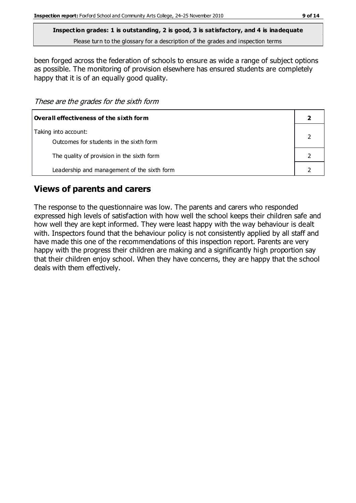**Inspection grades: 1 is outstanding, 2 is good, 3 is satisfactory, and 4 is inadequate**

Please turn to the glossary for a description of the grades and inspection terms

been forged across the federation of schools to ensure as wide a range of subject options as possible. The monitoring of provision elsewhere has ensured students are completely happy that it is of an equally good quality.

These are the grades for the sixth form

| Overall effectiveness of the sixth form                         |  |
|-----------------------------------------------------------------|--|
| Taking into account:<br>Outcomes for students in the sixth form |  |
| The quality of provision in the sixth form                      |  |
| Leadership and management of the sixth form                     |  |

## **Views of parents and carers**

The response to the questionnaire was low. The parents and carers who responded expressed high levels of satisfaction with how well the school keeps their children safe and how well they are kept informed. They were least happy with the way behaviour is dealt with. Inspectors found that the behaviour policy is not consistently applied by all staff and have made this one of the recommendations of this inspection report. Parents are very happy with the progress their children are making and a significantly high proportion say that their children enjoy school. When they have concerns, they are happy that the school deals with them effectively.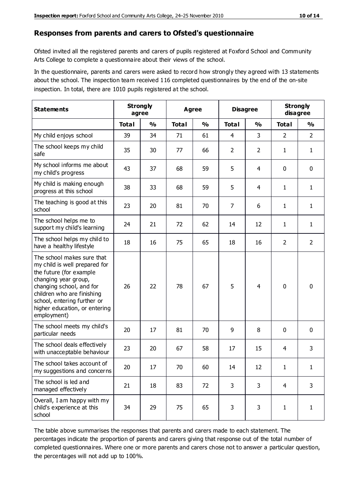#### **Responses from parents and carers to Ofsted's questionnaire**

Ofsted invited all the registered parents and carers of pupils registered at Foxford School and Community Arts College to complete a questionnaire about their views of the school.

In the questionnaire, parents and carers were asked to record how strongly they agreed with 13 statements about the school. The inspection team received 116 completed questionnaires by the end of the on-site inspection. In total, there are 1010 pupils registered at the school.

| <b>Statements</b>                                                                                                                                                                                                                                       | <b>Strongly</b><br>agree |               |              | Agree         |                | <b>Disagree</b> |                | <b>Strongly</b><br>disagree |
|---------------------------------------------------------------------------------------------------------------------------------------------------------------------------------------------------------------------------------------------------------|--------------------------|---------------|--------------|---------------|----------------|-----------------|----------------|-----------------------------|
|                                                                                                                                                                                                                                                         | <b>Total</b>             | $\frac{1}{2}$ | <b>Total</b> | $\frac{0}{0}$ | <b>Total</b>   | $\frac{0}{0}$   | <b>Total</b>   | $\frac{1}{2}$               |
| My child enjoys school                                                                                                                                                                                                                                  | 39                       | 34            | 71           | 61            | 4              | 3               | 2              | $\overline{2}$              |
| The school keeps my child<br>safe                                                                                                                                                                                                                       | 35                       | 30            | 77           | 66            | $\overline{2}$ | $\overline{2}$  | 1              | $\mathbf{1}$                |
| My school informs me about<br>my child's progress                                                                                                                                                                                                       | 43                       | 37            | 68           | 59            | 5              | 4               | $\mathbf 0$    | $\mathbf 0$                 |
| My child is making enough<br>progress at this school                                                                                                                                                                                                    | 38                       | 33            | 68           | 59            | 5              | 4               | 1              | $\mathbf{1}$                |
| The teaching is good at this<br>school                                                                                                                                                                                                                  | 23                       | 20            | 81           | 70            | $\overline{7}$ | 6               | 1              | $\mathbf{1}$                |
| The school helps me to<br>support my child's learning                                                                                                                                                                                                   | 24                       | 21            | 72           | 62            | 14             | 12              | 1              | $\mathbf{1}$                |
| The school helps my child to<br>have a healthy lifestyle                                                                                                                                                                                                | 18                       | 16            | 75           | 65            | 18             | 16              | $\overline{2}$ | $\overline{2}$              |
| The school makes sure that<br>my child is well prepared for<br>the future (for example<br>changing year group,<br>changing school, and for<br>children who are finishing<br>school, entering further or<br>higher education, or entering<br>employment) | 26                       | 22            | 78           | 67            | 5              | 4               | $\mathbf 0$    | $\mathbf 0$                 |
| The school meets my child's<br>particular needs                                                                                                                                                                                                         | 20                       | 17            | 81           | 70            | 9              | 8               | $\mathbf 0$    | $\mathbf 0$                 |
| The school deals effectively<br>with unacceptable behaviour                                                                                                                                                                                             | 23                       | 20            | 67           | 58            | 17             | 15              | 4              | 3                           |
| The school takes account of<br>my suggestions and concerns                                                                                                                                                                                              | 20                       | $17$          | 70           | 60            | 14             | 12              | 1              | 1                           |
| The school is led and<br>managed effectively                                                                                                                                                                                                            | 21                       | 18            | 83           | 72            | 3              | 3               | 4              | 3                           |
| Overall, I am happy with my<br>child's experience at this<br>school                                                                                                                                                                                     | 34                       | 29            | 75           | 65            | 3              | 3               | $\mathbf{1}$   | $\mathbf{1}$                |

The table above summarises the responses that parents and carers made to each statement. The percentages indicate the proportion of parents and carers giving that response out of the total number of completed questionnaires. Where one or more parents and carers chose not to answer a particular question, the percentages will not add up to 100%.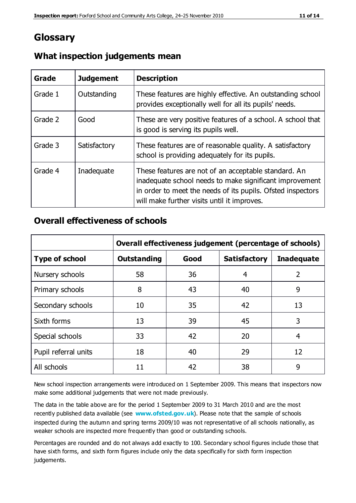## **Glossary**

| Grade   | <b>Judgement</b> | <b>Description</b>                                                                                                                                                                                                            |
|---------|------------------|-------------------------------------------------------------------------------------------------------------------------------------------------------------------------------------------------------------------------------|
| Grade 1 | Outstanding      | These features are highly effective. An outstanding school<br>provides exceptionally well for all its pupils' needs.                                                                                                          |
| Grade 2 | Good             | These are very positive features of a school. A school that<br>is good is serving its pupils well.                                                                                                                            |
| Grade 3 | Satisfactory     | These features are of reasonable quality. A satisfactory<br>school is providing adequately for its pupils.                                                                                                                    |
| Grade 4 | Inadequate       | These features are not of an acceptable standard. An<br>inadequate school needs to make significant improvement<br>in order to meet the needs of its pupils. Ofsted inspectors<br>will make further visits until it improves. |

#### **What inspection judgements mean**

#### **Overall effectiveness of schools**

|                       | Overall effectiveness judgement (percentage of schools) |      |                     |                   |
|-----------------------|---------------------------------------------------------|------|---------------------|-------------------|
| <b>Type of school</b> | <b>Outstanding</b>                                      | Good | <b>Satisfactory</b> | <b>Inadequate</b> |
| Nursery schools       | 58                                                      | 36   | 4                   | 2                 |
| Primary schools       | 8                                                       | 43   | 40                  | 9                 |
| Secondary schools     | 10                                                      | 35   | 42                  | 13                |
| Sixth forms           | 13                                                      | 39   | 45                  | 3                 |
| Special schools       | 33                                                      | 42   | 20                  | 4                 |
| Pupil referral units  | 18                                                      | 40   | 29                  | 12                |
| All schools           | 11                                                      | 42   | 38                  | 9                 |

New school inspection arrangements were introduced on 1 September 2009. This means that inspectors now make some additional judgements that were not made previously.

The data in the table above are for the period 1 September 2009 to 31 March 2010 and are the most recently published data available (see **[www.ofsted.gov.uk](http://www.ofsted.gov.uk/)**). Please note that the sample of schools inspected during the autumn and spring terms 2009/10 was not representative of all schools nationally, as weaker schools are inspected more frequently than good or outstanding schools.

Percentages are rounded and do not always add exactly to 100. Secondary school figures include those that have sixth forms, and sixth form figures include only the data specifically for sixth form inspection judgements.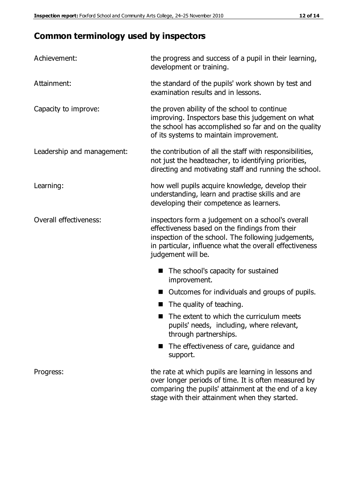# **Common terminology used by inspectors**

| Achievement:               | the progress and success of a pupil in their learning,<br>development or training.                                                                                                                                                          |
|----------------------------|---------------------------------------------------------------------------------------------------------------------------------------------------------------------------------------------------------------------------------------------|
| Attainment:                | the standard of the pupils' work shown by test and<br>examination results and in lessons.                                                                                                                                                   |
| Capacity to improve:       | the proven ability of the school to continue<br>improving. Inspectors base this judgement on what<br>the school has accomplished so far and on the quality<br>of its systems to maintain improvement.                                       |
| Leadership and management: | the contribution of all the staff with responsibilities,<br>not just the headteacher, to identifying priorities,<br>directing and motivating staff and running the school.                                                                  |
| Learning:                  | how well pupils acquire knowledge, develop their<br>understanding, learn and practise skills and are<br>developing their competence as learners.                                                                                            |
| Overall effectiveness:     | inspectors form a judgement on a school's overall<br>effectiveness based on the findings from their<br>inspection of the school. The following judgements,<br>in particular, influence what the overall effectiveness<br>judgement will be. |
|                            | The school's capacity for sustained<br>improvement.                                                                                                                                                                                         |
|                            | Outcomes for individuals and groups of pupils.                                                                                                                                                                                              |
|                            | The quality of teaching.                                                                                                                                                                                                                    |
|                            | The extent to which the curriculum meets<br>pupils' needs, including, where relevant,<br>through partnerships.                                                                                                                              |
|                            | The effectiveness of care, guidance and<br>support.                                                                                                                                                                                         |
| Progress:                  | the rate at which pupils are learning in lessons and<br>over longer periods of time. It is often measured by<br>comparing the pupils' attainment at the end of a key                                                                        |

stage with their attainment when they started.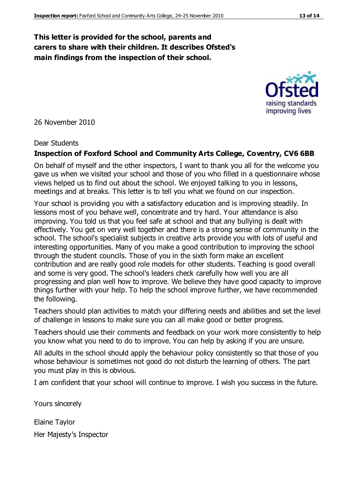#### **This letter is provided for the school, parents and carers to share with their children. It describes Ofsted's main findings from the inspection of their school.**

26 November 2010

#### Dear Students

#### **Inspection of Foxford School and Community Arts College, Coventry, CV6 6BB**

On behalf of myself and the other inspectors, I want to thank you all for the welcome you gave us when we visited your school and those of you who filled in a questionnaire whose views helped us to find out about the school. We enjoyed talking to you in lessons, meetings and at breaks. This letter is to tell you what we found on our inspection.

Your school is providing you with a satisfactory education and is improving steadily. In lessons most of you behave well, concentrate and try hard. Your attendance is also improving. You told us that you feel safe at school and that any bullying is dealt with effectively. You get on very well together and there is a strong sense of community in the school. The school's specialist subjects in creative arts provide you with lots of useful and interesting opportunities. Many of you make a good contribution to improving the school through the student councils. Those of you in the sixth form make an excellent contribution and are really good role models for other students. Teaching is good overall and some is very good. The school's leaders check carefully how well you are all progressing and plan well how to improve. We believe they have good capacity to improve things further with your help. To help the school improve further, we have recommended the following.

Teachers should plan activities to match your differing needs and abilities and set the level of challenge in lessons to make sure you can all make good or better progress.

Teachers should use their comments and feedback on your work more consistently to help you know what you need to do to improve. You can help by asking if you are unsure.

All adults in the school should apply the behaviour policy consistently so that those of you whose behaviour is sometimes not good do not disturb the learning of others. The part you must play in this is obvious.

I am confident that your school will continue to improve. I wish you success in the future.

Yours sincerely

Elaine Taylor Her Majesty's Inspector